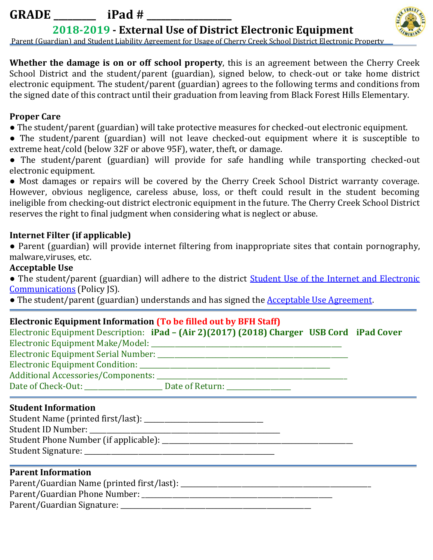# **GRADE \_\_\_\_\_\_\_\_\_ iPad # \_\_\_\_\_\_\_\_\_\_\_\_\_\_\_\_\_\_**

**2018-2019 - External Use of District Electronic Equipment**



Parent (Guardian) and Student Liability Agreement for Usage of Cherry Creek School District Electronic Property

**Whether the damage is on or off school property**, this is an agreement between the Cherry Creek School District and the student/parent (guardian), signed below, to check-out or take home district electronic equipment. The student/parent (guardian) agrees to the following terms and conditions from the signed date of this contract until their graduation from leaving from Black Forest Hills Elementary.

#### **Proper Care**

- The student/parent (guardian) will take protective measures for checked-out electronic equipment.
- The student/parent (guardian) will not leave checked-out equipment where it is susceptible to extreme heat/cold (below 32F or above 95F), water, theft, or damage.
- The student/parent (guardian) will provide for safe handling while transporting checked-out electronic equipment.

● Most damages or repairs will be covered by the Cherry Creek School District warranty coverage. However, obvious negligence, careless abuse, loss, or theft could result in the student becoming ineligible from checking-out district electronic equipment in the future. The Cherry Creek School District reserves the right to final judgment when considering what is neglect or abuse.

# **Internet Filter (if applicable)**

● Parent (guardian) will provide internet filtering from inappropriate sites that contain pornography, malware,viruses, etc.

#### **Acceptable Use**

• The student/parent (guardian) will adhere to the district **Student Use of the Internet and Electronic** [Communications](http://www.cherrycreekschools.org/StudentConduct/Documents/Student%20Conduct%20and%20Discipline%20Handbook.pdf) (Policy JS).

• The student/parent (guardian) understands and has signed the [Acceptable Use Agreement.](https://docs.google.com/a/cherrycreekschools.org/file/d/0B1yckI_N-a5TRFNWbWptemhRSEU/edit)

## **Electronic Equipment Information (To be filled out by BFH Staff)**

|                                    | Electronic Equipment Description: iPad – (Air 2)(2017) (2018) Charger USB Cord iPad Cover |  |
|------------------------------------|-------------------------------------------------------------------------------------------|--|
|                                    |                                                                                           |  |
|                                    |                                                                                           |  |
|                                    |                                                                                           |  |
| Additional Accessories/Components: |                                                                                           |  |
| Date of Check-Out:                 | Date of Return: _______________                                                           |  |

#### **Student Information**

## **Parent Information**

Parent/Guardian Name (printed first/last):

Parent/Guardian Phone Number:

Parent/Guardian Signature: \_\_\_\_\_\_\_\_\_\_\_\_\_\_\_\_\_\_\_\_\_\_\_\_\_\_\_\_\_\_\_\_\_\_\_\_\_\_\_\_\_\_\_\_\_\_\_\_\_\_\_\_\_\_\_\_